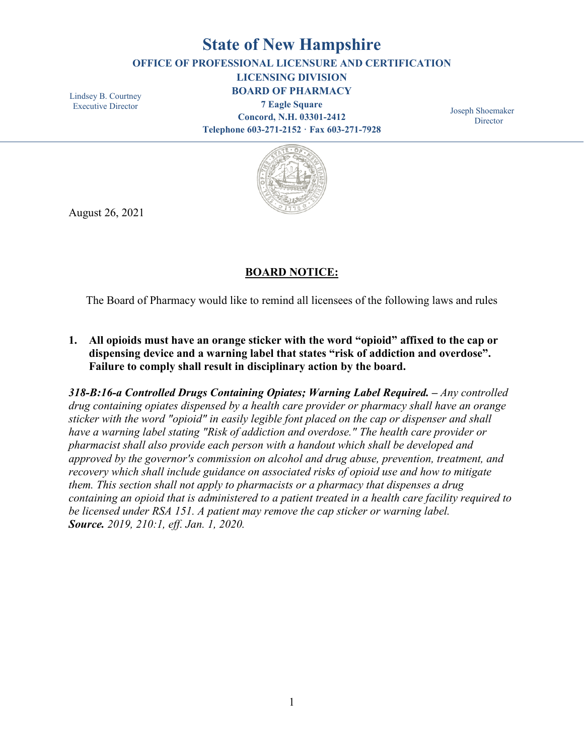# **State of New Hampshire**

**OFFICE OF PROFESSIONAL LICENSURE AND CERTIFICATION**

**LICENSING DIVISION**

Lindsey B. Courtney Executive Director

**BOARD OF PHARMACY 7 Eagle Square Concord, N.H. 03301-2412 Telephone 603-271-2152 · Fax 603-271-7928**

Joseph Shoemaker **Director** 



August 26, 2021

## **BOARD NOTICE:**

The Board of Pharmacy would like to remind all licensees of the following laws and rules

**1. All opioids must have an orange sticker with the word "opioid" affixed to the cap or dispensing device and a warning label that states "risk of addiction and overdose". Failure to comply shall result in disciplinary action by the board.**

*318-B:16-a Controlled Drugs Containing Opiates; Warning Label Required. – Any controlled drug containing opiates dispensed by a health care provider or pharmacy shall have an orange sticker with the word "opioid" in easily legible font placed on the cap or dispenser and shall have a warning label stating "Risk of addiction and overdose." The health care provider or pharmacist shall also provide each person with a handout which shall be developed and approved by the governor's commission on alcohol and drug abuse, prevention, treatment, and recovery which shall include guidance on associated risks of opioid use and how to mitigate them. This section shall not apply to pharmacists or a pharmacy that dispenses a drug containing an opioid that is administered to a patient treated in a health care facility required to be licensed under RSA 151. A patient may remove the cap sticker or warning label. Source. 2019, 210:1, eff. Jan. 1, 2020.*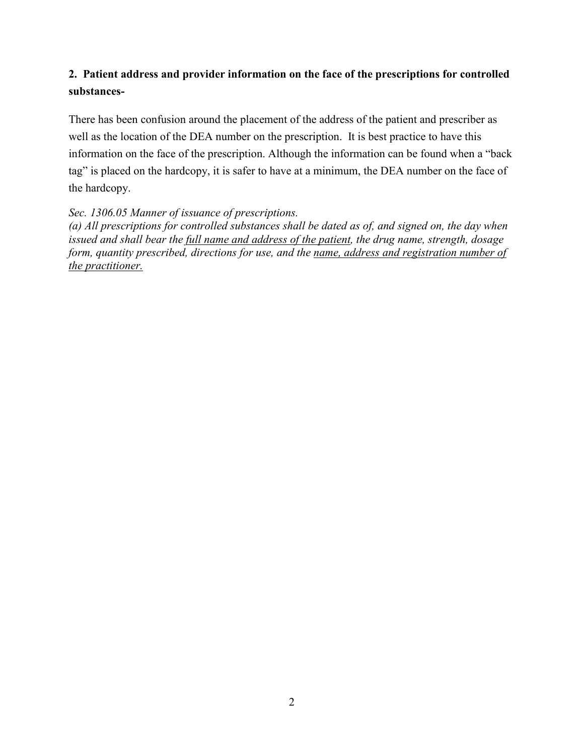## **2. Patient address and provider information on the face of the prescriptions for controlled substances-**

There has been confusion around the placement of the address of the patient and prescriber as well as the location of the DEA number on the prescription. It is best practice to have this information on the face of the prescription. Although the information can be found when a "back tag" is placed on the hardcopy, it is safer to have at a minimum, the DEA number on the face of the hardcopy.

## *Sec. 1306.05 Manner of issuance of prescriptions.*

*(a) All prescriptions for controlled substances shall be dated as of, and signed on, the day when issued and shall bear the full name and address of the patient, the drug name, strength, dosage form, quantity prescribed, directions for use, and the name, address and registration number of the practitioner.*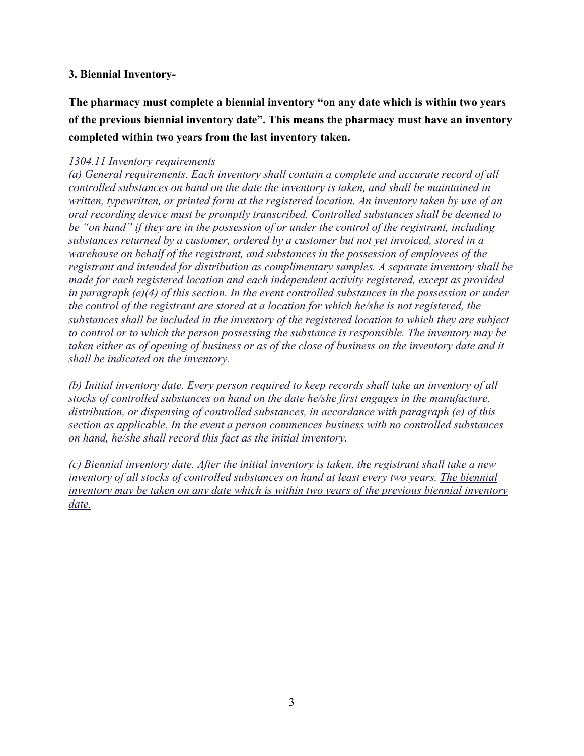## **3. Biennial Inventory-**

**The pharmacy must complete a biennial inventory "on any date which is within two years of the previous biennial inventory date". This means the pharmacy must have an inventory completed within two years from the last inventory taken.**

### *1304.11 Inventory requirements*

*(a) General requirements. Each inventory shall contain a complete and accurate record of all controlled substances on hand on the date the inventory is taken, and shall be maintained in written, typewritten, or printed form at the registered location. An inventory taken by use of an oral recording device must be promptly transcribed. Controlled substances shall be deemed to be "on hand" if they are in the possession of or under the control of the registrant, including substances returned by a customer, ordered by a customer but not yet invoiced, stored in a warehouse on behalf of the registrant, and substances in the possession of employees of the registrant and intended for distribution as complimentary samples. A separate inventory shall be made for each registered location and each independent activity registered, except as provided in paragraph (e)(4) of this section. In the event controlled substances in the possession or under the control of the registrant are stored at a location for which he/she is not registered, the substances shall be included in the inventory of the registered location to which they are subject to control or to which the person possessing the substance is responsible. The inventory may be* taken either as of opening of business or as of the close of business on the inventory date and it *shall be indicated on the inventory.*

*(b) Initial inventory date. Every person required to keep records shall take an inventory of all stocks of controlled substances on hand on the date he/she first engages in the manufacture, distribution, or dispensing of controlled substances, in accordance with paragraph (e) of this section as applicable. In the event a person commences business with no controlled substances on hand, he/she shall record this fact as the initial inventory.*

*(c) Biennial inventory date. After the initial inventory is taken, the registrant shall take a new inventory of all stocks of controlled substances on hand at least every two years. The biennial inventory may be taken on any date which is within two years of the previous biennial inventory date.*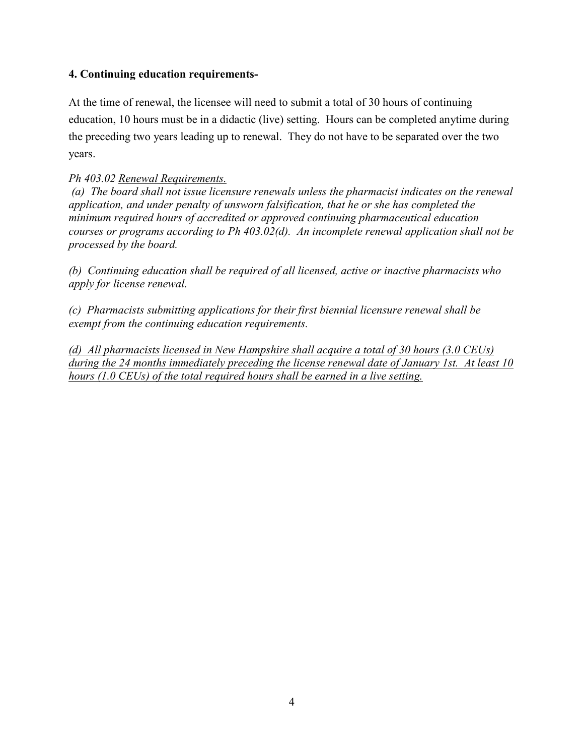## **4. Continuing education requirements-**

At the time of renewal, the licensee will need to submit a total of 30 hours of continuing education, 10 hours must be in a didactic (live) setting. Hours can be completed anytime during the preceding two years leading up to renewal. They do not have to be separated over the two years.

## *Ph 403.02 Renewal Requirements.*

*(a) The board shall not issue licensure renewals unless the pharmacist indicates on the renewal application, and under penalty of unsworn falsification, that he or she has completed the minimum required hours of accredited or approved continuing pharmaceutical education courses or programs according to Ph 403.02(d). An incomplete renewal application shall not be processed by the board.*

*(b) Continuing education shall be required of all licensed, active or inactive pharmacists who apply for license renewal.*

*(c) Pharmacists submitting applications for their first biennial licensure renewal shall be exempt from the continuing education requirements.*

*(d) All pharmacists licensed in New Hampshire shall acquire a total of 30 hours (3.0 CEUs) during the 24 months immediately preceding the license renewal date of January 1st. At least 10 hours (1.0 CEUs) of the total required hours shall be earned in a live setting.*